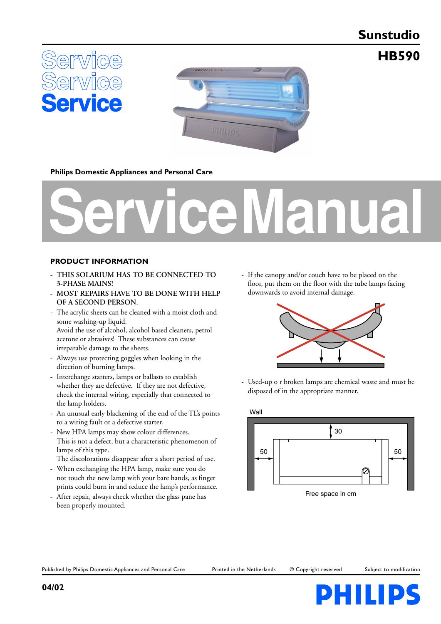# **Sunstudio**

**HB590**





**Philips Domestic Appliances and Personal Care**

# **Service Manual**

## **PRODUCT INFORMATION**

- **THIS SOLARIUM HAS TO BE CONNECTED TO 3-PHASE MAINS!**
- **MOST REPAIRS HAVE TO BE DONE WITH HELP OF A SECOND PERSON.**
- The acrylic sheets can be cleaned with a moist cloth and some washing-up liquid. Avoid the use of alcohol, alcohol based cleaners, petrol acetone or abrasives! These substances can cause irreparable damage to the sheets.
- Always use protecting goggles when looking in the direction of burning lamps.
- Interchange starters, lamps or ballasts to establish whether they are defective. If they are not defective, check the internal wiring, especially that connected to the lamp holders.
- An unusual early blackening of the end of the TL's points to a wiring fault or a defective starter.
- New HPA lamps may show colour differences. This is not a defect, but a characteristic phenomenon of lamps of this type.

The discolorations disappear after a short period of use.

- When exchanging the HPA lamp, make sure you do not touch the new lamp with your bare hands, as finger prints could burn in and reduce the lamp's performance.
- After repair, always check whether the glass pane has been properly mounted.

- If the canopy and/or couch have to be placed on the floor, put them on the floor with the tube lamps facing downwards to avoid internal damage.



- Used-up o r broken lamps are chemical waste and must be disposed of in the appropriate manner.



Published by Philips Domestic Appliances and Personal Care Printed in the Netherlands © Copyright reserved Subject to modification

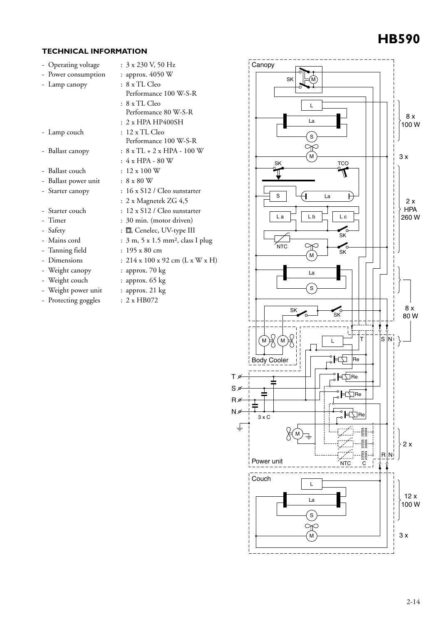# **HB590**

## **TECHNICAL INFORMATION**

| - Operating voltage  | : 3 x 230 V, 50 Hz                            |
|----------------------|-----------------------------------------------|
| - Power consumption  | : approx. 4050 W                              |
| - Lamp canopy        | : 8 x TL Cleo                                 |
|                      | Performance 100 W-S-R                         |
|                      | : 8 x TL Cleo                                 |
|                      | Performance 80 W-S-R                          |
|                      | $: 2x$ HPA HP400SH                            |
| - Lamp couch         | : 12 x TL Cleo                                |
|                      | Performance 100 W-S-R                         |
| - Ballast canopy     | $: 8 \times TL + 2 \times HPA - 100 W$        |
|                      | $: 4 \times HPA - 80$ W                       |
| - Ballast couch      | $: 12 \times 100$ W                           |
| - Ballast power unit | $:8 \times 80$ W                              |
| - Starter canopy     | : 16 x S12 / Cleo sunstarter                  |
|                      | : 2 x Magnetek ZG 4,5                         |
| - Starter couch      | : 12 x S12 / Cleo sunstarter                  |
| - Timer              | : 30 min. (motor driven)                      |
| - Safety             | : 回, Cenelec, UV-type III                     |
| - Mains cord         | : 3 m, 5 x 1.5 mm <sup>2</sup> , class I plug |
| - Tanning field      | $: 195 \times 80$ cm                          |
| - Dimensions         | : $214 \times 100 \times 92$ cm (L x W x H)   |
| - Weight canopy      | : approx. 70 kg                               |
| - Weight couch       | : approx. 65 kg                               |
| - Weight power unit  | $:$ approx. 21 $kg$                           |
| - Protecting goggles | : 2xHB072                                     |
|                      |                                               |

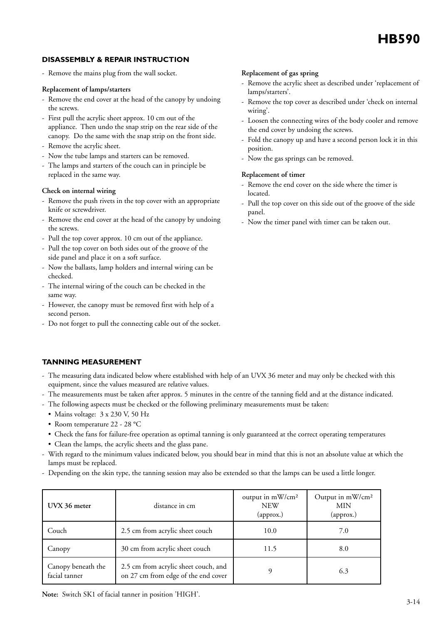## **DISASSEMBLY & REPAIR INSTRUCTION**

- Remove the mains plug from the wall socket.

## **Replacement of lamps/starters**

- Remove the end cover at the head of the canopy by undoing the screws.
- First pull the acrylic sheet approx. 10 cm out of the appliance. Then undo the snap strip on the rear side of the canopy. Do the same with the snap strip on the front side.
- Remove the acrylic sheet.
- Now the tube lamps and starters can be removed.
- The lamps and starters of the couch can in principle be replaced in the same way.

## **Check on internal wiring**

- Remove the push rivets in the top cover with an appropriate knife or screwdriver.
- Remove the end cover at the head of the canopy by undoing the screws.
- Pull the top cover approx. 10 cm out of the appliance.
- Pull the top cover on both sides out of the groove of the side panel and place it on a soft surface.
- Now the ballasts, lamp holders and internal wiring can be checked.
- The internal wiring of the couch can be checked in the same way.
- However, the canopy must be removed first with help of a second person.
- Do not forget to pull the connecting cable out of the socket.

## **Replacement of gas spring**

- Remove the acrylic sheet as described under 'replacement of lamps/starters'.
- Remove the top cover as described under 'check on internal wiring'.
- Loosen the connecting wires of the body cooler and remove the end cover by undoing the screws.
- Fold the canopy up and have a second person lock it in this position.
- Now the gas springs can be removed.

## **Replacement of timer**

- Remove the end cover on the side where the timer is located.
- Pull the top cover on this side out of the groove of the side panel.
- Now the timer panel with timer can be taken out.

## **TANNING MEASUREMENT**

- The measuring data indicated below where established with help of an UVX 36 meter and may only be checked with this equipment, since the values measured are relative values.
- The measurements must be taken after approx. 5 minutes in the centre of the tanning field and at the distance indicated.
- The following aspects must be checked or the following preliminary measurements must be taken:
	- Mains voltage: 3 x 230 V, 50 Hz
	- Room temperature 22 28 °C
	- Check the fans for failure-free operation as optimal tanning is only guaranteed at the correct operating temperatures
	- Clean the lamps, the acrylic sheets and the glass pane.
- With regard to the minimum values indicated below, you should bear in mind that this is not an absolute value at which the lamps must be replaced.
- Depending on the skin type, the tanning session may also be extended so that the lamps can be used a little longer.

| UVX 36 meter                        | distance in cm                                                              | output in mW/cm <sup>2</sup><br><b>NEW</b><br>(approx.) | Output in mW/cm <sup>2</sup><br>MIN<br>(approx.) |
|-------------------------------------|-----------------------------------------------------------------------------|---------------------------------------------------------|--------------------------------------------------|
| Couch                               | 2.5 cm from acrylic sheet couch                                             | 10.0                                                    | 7.0                                              |
| Canopy                              | 30 cm from acrylic sheet couch                                              | 11.5                                                    | 8.0                                              |
| Canopy beneath the<br>facial tanner | 2.5 cm from acrylic sheet couch, and<br>on 27 cm from edge of the end cover |                                                         | 6.3                                              |

**Note:** Switch SK1 of facial tanner in position 'HIGH'.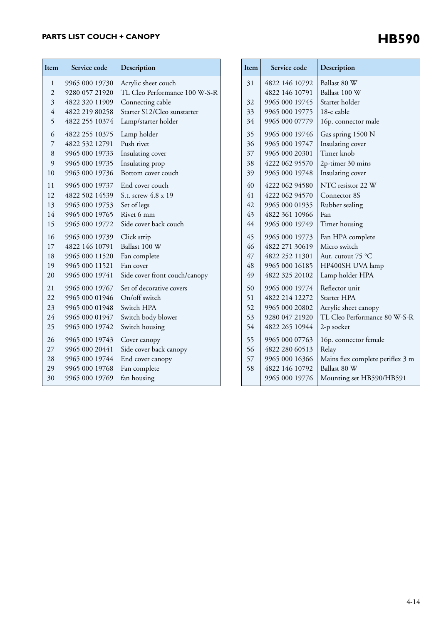# **PARTS LIST COUCH + CANOPY**

| Acrylic sheet couch<br>9965 000 19730<br>1<br>TL Cleo Performance 100 W-S-R<br>$\overline{c}$<br>9280 057 21920<br>$\overline{\mathbf{3}}$<br>4822 320 11909<br>Connecting cable<br>4<br>4822 219 80258<br>Starter S12/Cleo sunstarter<br>4822 255 10374<br>5<br>Lamp/starter holder<br>6<br>4822 255 10375<br>Lamp holder<br>4822 532 12791<br>Push rivet<br>7<br>8<br>9965 000 19733<br>Insulating cover<br>9<br>9965 000 19735<br>Insulating prop<br>9965 000 19736<br>10<br>Bottom cover couch<br>11<br>9965 000 19737<br>End cover couch<br>4822 502 14539<br>12<br>S.t. screw 4.8 x 19<br>13<br>9965 000 19753<br>Set of legs<br>Rivet 6 mm<br>14<br>9965 000 19765<br>Side cover back couch<br>15<br>9965 000 19772<br>16<br>9965 000 19739<br>Click strip | Item |                |
|-------------------------------------------------------------------------------------------------------------------------------------------------------------------------------------------------------------------------------------------------------------------------------------------------------------------------------------------------------------------------------------------------------------------------------------------------------------------------------------------------------------------------------------------------------------------------------------------------------------------------------------------------------------------------------------------------------------------------------------------------------------------|------|----------------|
|                                                                                                                                                                                                                                                                                                                                                                                                                                                                                                                                                                                                                                                                                                                                                                   | 31   | $\overline{4}$ |
|                                                                                                                                                                                                                                                                                                                                                                                                                                                                                                                                                                                                                                                                                                                                                                   |      | $\overline{4}$ |
|                                                                                                                                                                                                                                                                                                                                                                                                                                                                                                                                                                                                                                                                                                                                                                   | 32   | 9 <sub>1</sub> |
|                                                                                                                                                                                                                                                                                                                                                                                                                                                                                                                                                                                                                                                                                                                                                                   | 33   | $\overline{9}$ |
|                                                                                                                                                                                                                                                                                                                                                                                                                                                                                                                                                                                                                                                                                                                                                                   | 34   | $\overline{9}$ |
|                                                                                                                                                                                                                                                                                                                                                                                                                                                                                                                                                                                                                                                                                                                                                                   | 35   | $\overline{9}$ |
|                                                                                                                                                                                                                                                                                                                                                                                                                                                                                                                                                                                                                                                                                                                                                                   | 36   | $\overline{9}$ |
|                                                                                                                                                                                                                                                                                                                                                                                                                                                                                                                                                                                                                                                                                                                                                                   | 37   | $\overline{9}$ |
|                                                                                                                                                                                                                                                                                                                                                                                                                                                                                                                                                                                                                                                                                                                                                                   | 38   | $\overline{4}$ |
|                                                                                                                                                                                                                                                                                                                                                                                                                                                                                                                                                                                                                                                                                                                                                                   | 39   | $\overline{9}$ |
|                                                                                                                                                                                                                                                                                                                                                                                                                                                                                                                                                                                                                                                                                                                                                                   | 40   | $\overline{4}$ |
|                                                                                                                                                                                                                                                                                                                                                                                                                                                                                                                                                                                                                                                                                                                                                                   | 41   | $\overline{4}$ |
|                                                                                                                                                                                                                                                                                                                                                                                                                                                                                                                                                                                                                                                                                                                                                                   | 42   | $\overline{9}$ |
|                                                                                                                                                                                                                                                                                                                                                                                                                                                                                                                                                                                                                                                                                                                                                                   | 43   | $\overline{4}$ |
|                                                                                                                                                                                                                                                                                                                                                                                                                                                                                                                                                                                                                                                                                                                                                                   | 44   | $\overline{9}$ |
|                                                                                                                                                                                                                                                                                                                                                                                                                                                                                                                                                                                                                                                                                                                                                                   | 45   | $\overline{9}$ |
| Ballast 100 W<br>4822 146 10791<br>17                                                                                                                                                                                                                                                                                                                                                                                                                                                                                                                                                                                                                                                                                                                             | 46   | $\overline{4}$ |
| 9965 000 11520<br>Fan complete<br>18                                                                                                                                                                                                                                                                                                                                                                                                                                                                                                                                                                                                                                                                                                                              | 47   | $\overline{4}$ |
| 9965 000 11521<br>19<br>Fan cover                                                                                                                                                                                                                                                                                                                                                                                                                                                                                                                                                                                                                                                                                                                                 | 48   | $\overline{9}$ |
| 9965 000 19741<br>20<br>Side cover front couch/canopy                                                                                                                                                                                                                                                                                                                                                                                                                                                                                                                                                                                                                                                                                                             | 49   | $\overline{4}$ |
| 21<br>9965 000 19767<br>Set of decorative covers                                                                                                                                                                                                                                                                                                                                                                                                                                                                                                                                                                                                                                                                                                                  | 50   | $\overline{9}$ |
| 9965 000 01946<br>On/off switch<br>22                                                                                                                                                                                                                                                                                                                                                                                                                                                                                                                                                                                                                                                                                                                             | 51   | $\overline{4}$ |
| Switch HPA<br>23<br>9965 000 01948                                                                                                                                                                                                                                                                                                                                                                                                                                                                                                                                                                                                                                                                                                                                | 52   | 9 <sup>1</sup> |
| 24<br>9965 000 01947<br>Switch body blower                                                                                                                                                                                                                                                                                                                                                                                                                                                                                                                                                                                                                                                                                                                        | 53   | 9 <sub>i</sub> |
| 9965 000 19742<br>25<br>Switch housing                                                                                                                                                                                                                                                                                                                                                                                                                                                                                                                                                                                                                                                                                                                            | 54   | $\overline{4}$ |
| 26<br>9965 000 19743<br>Cover canopy                                                                                                                                                                                                                                                                                                                                                                                                                                                                                                                                                                                                                                                                                                                              | 55   | $\overline{9}$ |
| 27<br>9965 000 20441<br>Side cover back canopy                                                                                                                                                                                                                                                                                                                                                                                                                                                                                                                                                                                                                                                                                                                    | 56   | $\overline{4}$ |
| 28<br>9965 000 19744<br>End cover canopy                                                                                                                                                                                                                                                                                                                                                                                                                                                                                                                                                                                                                                                                                                                          | 57   | 9 <sup>1</sup> |
| 29<br>9965 000 19768<br>Fan complete                                                                                                                                                                                                                                                                                                                                                                                                                                                                                                                                                                                                                                                                                                                              | 58   | $\overline{4}$ |
| 30<br>9965 000 19769<br>fan housing                                                                                                                                                                                                                                                                                                                                                                                                                                                                                                                                                                                                                                                                                                                               |      | $\overline{9}$ |

| Item | Service code   | Description                      |  |
|------|----------------|----------------------------------|--|
| 31   | 4822 146 10792 | Ballast 80 W                     |  |
|      | 4822 146 10791 | Ballast 100 W                    |  |
| 32   | 9965 000 19745 | Starter holder                   |  |
| 33   | 9965 000 19775 | 18-c cable                       |  |
| 34   | 9965 000 07779 | 16p. connector male              |  |
| 35   | 9965 000 19746 | Gas spring 1500 N                |  |
| 36   | 9965 000 19747 | Insulating cover                 |  |
| 37   | 9965 000 20301 | Timer knob                       |  |
| 38   | 4222 062 95570 | 2p-timer 30 mins                 |  |
| 39   | 9965 000 19748 | Insulating cover                 |  |
| 40   | 4222 062 94580 | NTC resistor 22 W                |  |
| 41   | 4222 062 94570 | Connector 8S                     |  |
| 42   | 9965 000 01935 | Rubber sealing                   |  |
| 43   | 4822 361 10966 | Fan                              |  |
| 44   | 9965 000 19749 | Timer housing                    |  |
| 45   | 9965 000 19773 | Fan HPA complete                 |  |
| 46   | 4822 271 30619 | Micro switch                     |  |
| 47   | 4822 252 11301 | Aut. cutout 75 °C                |  |
| 48   | 9965 000 16185 | HP400SH UVA lamp                 |  |
| 49   | 4822 325 20102 | Lamp holder HPA                  |  |
| 50   | 9965 000 19774 | Reflector unit                   |  |
| 51   | 4822 214 12272 | Starter HPA                      |  |
| 52   | 9965 000 20802 | Acrylic sheet canopy             |  |
| 53   | 9280 047 21920 | TL Cleo Performance 80 W-S-R     |  |
| 54   | 4822 265 10944 | 2-p socket                       |  |
| 55   | 9965 000 07763 | 16p. connector female            |  |
| 56   | 4822 280 60513 | Relay                            |  |
| 57   | 9965 000 16366 | Mains flex complete periflex 3 m |  |
| 58   | 4822 146 10792 | Ballast 80 W                     |  |
|      | 9965 000 19776 | Mounting set HB590/HB591         |  |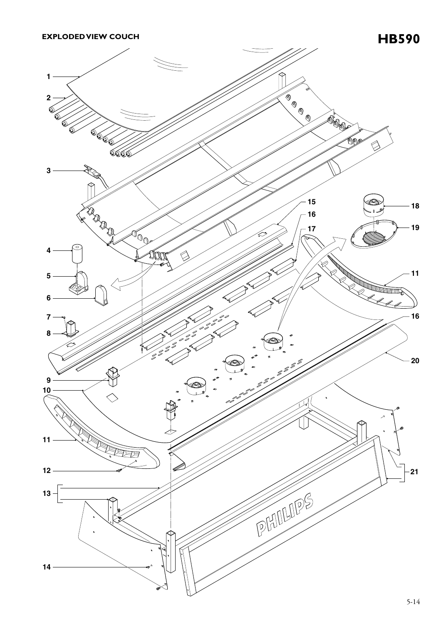

5-14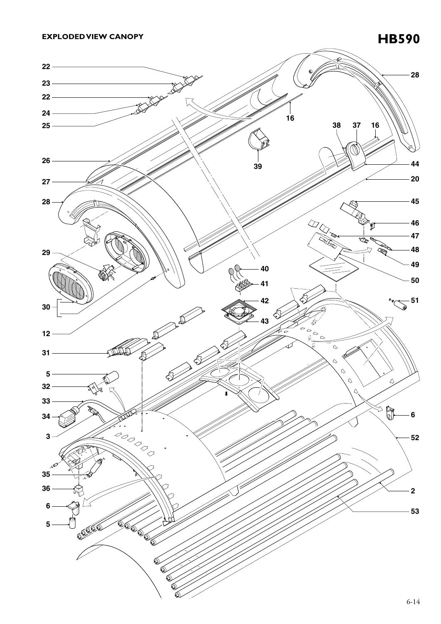

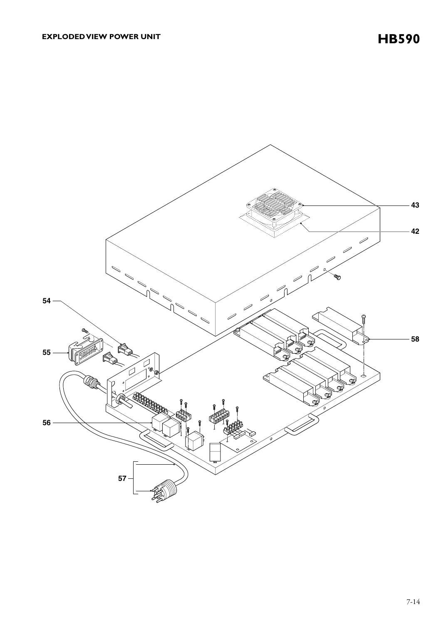**43 42**  $\overline{\mathscr{S}}$  $\mathscr{D}_{\mathscr{A}}$  $\mathscr{P}$ ╱ z **54** Í 11 **58 55** © Q **56 57**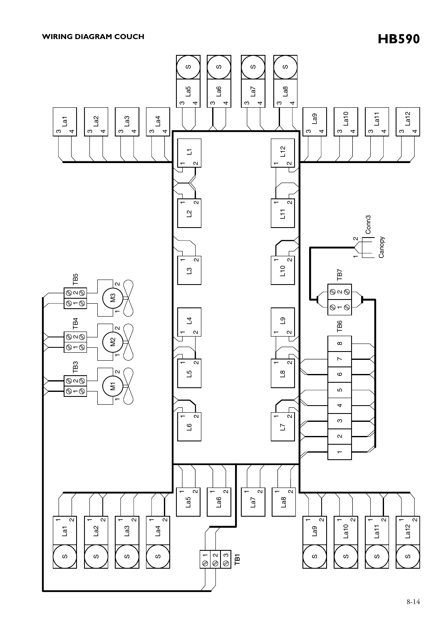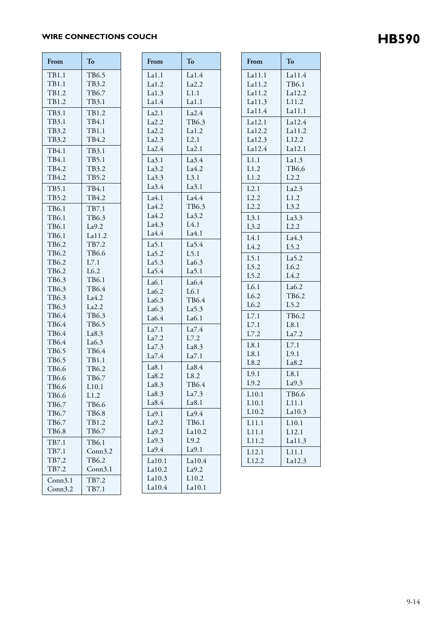# WIRE CONNECTIONS COUCH **HB590**

| From           | To              | From              | To                |
|----------------|-----------------|-------------------|-------------------|
| TB1.1          | TB6.5           | La1.1             | La1.4             |
| TB1.1          | TB3.2           | La1.2             | La2.2             |
| TB1.2          | TB6.7           | La1.3             | L1.1              |
| TB1.2          | TB3.1           | La1.4             | La1.1             |
| TB3.1          | TB1.2           | La2.1             | La2.4             |
| TB3.1          | TB4.1           | La2.2             | TB6.3             |
| TB3.2          | TB1.1           | La2.2             | La1.2             |
| TB3.2          | TB4.2           | La2.3             | L2.1              |
| TB4.1          | TB3.1           | La2.4             | La2.1             |
| TB4.1          | TB5.1           | La3.1             | La3.4             |
| TB4.2          | TB3.2           | La3.2             | La4.2             |
| TB4.2          | TB5.2           | La3.3             | L3.1              |
| TB5.1          | TB4.1           | La3.4             | La3.1             |
| TB5.2          | TB4.2           | La4.1             | La4.4             |
|                |                 | La4.2             | TB6.3             |
| TB6.1<br>TB6.1 | TB7.1           | La4.2             | La3.2             |
| TB6.1          | TB6.3           | La4.3             | L4.1              |
| TB6.1          | La9.2<br>La11.2 | La4.4             | La4.1             |
| TB6.2          | TB7.2           | La <sub>5.1</sub> | La <sub>5.4</sub> |
| TB6.2          | TB6.6           | La <sub>5.2</sub> | L5.1              |
| TB6.2          | L7.1            | La <sub>5.3</sub> | La6.3             |
| TB6.2          | L6.2            | La <sub>5.4</sub> | La <sub>5.1</sub> |
| TB6.3          | TB6.1           | La6.1             | La6.4             |
| TB6.3          | TB6.4           | La6.2             | L6.1              |
| TB6.3          | La4.2           | La6.3             | TB6.4             |
| TB6.3          | La2.2           | La6.3             | La <sub>5.3</sub> |
| TB6.4          | TB6.3           | La6.4             | La6.1             |
| TB6.4          | TB6.5           |                   |                   |
| TB6.4          | La8.3           | La7.1<br>La7.2    | La7.4<br>L7.2     |
| TB6.4          | La6.3           | La7.3             | La8.3             |
| TB6.5          | TB6.4           | La7.4             | La7.1             |
| TB6.5          | TB1.1           |                   |                   |
| TB6.6          | TB6.2           | La8.1             | La8.4             |
| TB6.6          | TB6.7           | La8.2             | L8.2              |
| TB6.6          | L10.1           | La8.3             | TB <sub>6.4</sub> |
| TB6.6          | L1.2            | La8.3             | La7.3             |
| TB6.7          | TB6.6           | La8.4             | La8.1             |
| TB6.7          | TB6.8           | La9.1             | La9.4             |
| TB6.7          | TB1.2           | La9.2             | TB6.1             |
| TB6.8          | TB6.7           | La9.2             | La10.2            |
| TB7.1          | TB6.1           | La9.3             | L9.2              |
| TB7.1          | Conn3.2         | La9.4             | La9.1             |
| TB7.2          | TB6.2           | La10.1            | La10.4            |
| TB7.2          | Conn3.1         | La10.2            | La9.2             |
| Conn3.1        | TB7.2           | La10.3            | L10.2             |
| Conn3.2        | TB7.1           | La10.4            | La10.1            |

| From   | To                | F <sub>1</sub> |
|--------|-------------------|----------------|
| La1.1  | La1.4             | L              |
| La1.2  | La2.2             | L              |
| La1.3  | L1.1              | L              |
| La1.4  | La1.1             | L              |
| La2.1  | La2.4             | L.             |
| La2.2  | TB6.3             | L              |
| La2.2  | La1.2             | L              |
| La2.3  | L2.1              | L              |
| La2.4  | La2.1             | L              |
| La3.1  | La3.4             | L              |
| La3.2  | La4.2             | L              |
| La3.3  | L3.1              | $\overline{L}$ |
| La3.4  | La3.1             | L              |
| La4.1  | La4.4             | L.             |
| La4.2  | TB6.3             | L              |
| La4.2  | La3.2             | L              |
| La4.3  | L4.1              | L.             |
| La4.4  | La4.1             |                |
| La5.1  | La5.4             | L<br>L         |
| La5.2  | L5.1              |                |
| La5.3  | La6.3             | L              |
| La5.4  | La <sub>5.1</sub> | L              |
| La6.1  | La6.4             | L              |
| La6.2  | L6.1              | L              |
| La6.3  | TB6.4             | L              |
| La6.3  | La5.3             | L              |
| La6.4  | La6.1             | $\overline{L}$ |
| La7.1  | La7.4             | $\Gamma$       |
| La7.2  | L7.2              | $\Gamma$       |
| La7.3  | La8.3             | $\overline{L}$ |
| La7.4  | La7.1             | $\overline{L}$ |
| La8.1  | La8.4             | L              |
| La8.2  | L8.2              | L              |
| La8.3  | TB6.4             | L <sub>1</sub> |
| La8.3  | La7.3             | L              |
| La8.4  | La8.1             | $\overline{L}$ |
| La9.1  | La9.4             | L              |
| La9.2  | TB6.1             | L              |
| La9.2  | La10.2            | L              |
| La9.3  | L9.2              | L              |
| La9.4  | La9.1             | L              |
| La10.1 | La10.4            | L              |
| La10.2 | La9.2             |                |
| La10.3 | L10.2             |                |

| From             | To                 |
|------------------|--------------------|
| La11.1           | La11.4             |
| La11.2           | TB6.1              |
| La11.2<br>La11.3 | La12.2<br>L11.2    |
| La11.4           | La11.1             |
| La12.1           | La12.4             |
| La12.2           | La11.2             |
| La12.3           | L12.2              |
| La12.4           | La12.1             |
| L1.1             | La1.3              |
| L1.2             | TB6.6              |
| L1.2             | L2.2               |
| L2.1             | La2.3              |
| L2.2             | L1.2               |
| L2.2             | L3.2               |
| L3.1             | La3.3              |
| L3.2             | L2.2               |
| L4.1             | La4.3              |
| L4.2             | L5.2               |
| L5.1             | La5.2              |
| L5.2<br>L5.2     | L6.2<br>L4.2       |
| L6.1             | La6.2              |
| L6.2             | TB6.2              |
| L6.2             | L5.2               |
| L7.1             | TB6.2              |
| L7.1             | L8.1               |
| L7.2             | La7.2              |
| L8.1             | L7.1               |
| L8.1             | L9.1               |
| L8.2             | La8.2              |
| L9.1             | L8.1               |
| L9.2             | La9.3              |
| L10.1            | TB6.6              |
| L10.1            | $\overline{L11.1}$ |
| L10.2            | La10.3             |
| L11.1            | L10.1              |
| L11.1            | L12.1              |
| L11.2            | La11.3             |
| L12.1<br>L12.2   | L11.1<br>La12.3    |
|                  |                    |

٦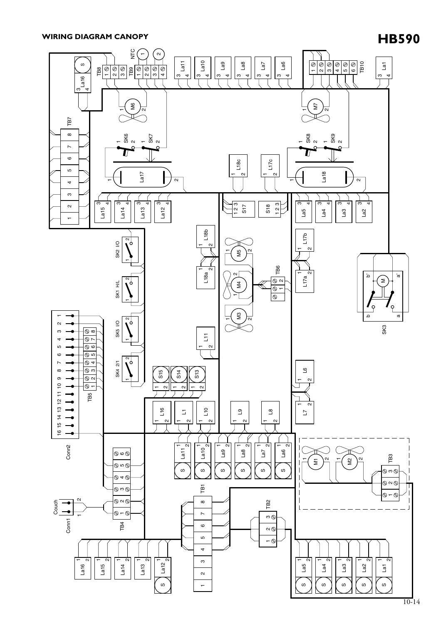# **HB590 WIRING DIAGRAM CANOPY**

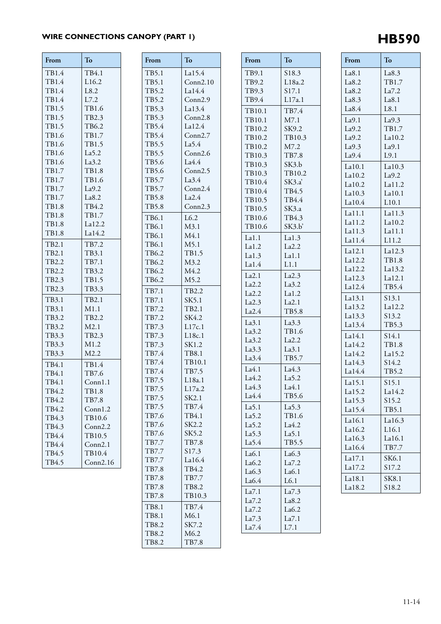# WIRE CONNECTIONS CANOPY (PART 1) **HB590**

**From To**

S18.3 L18a.2 S17.1 L17a.1

TB7.4 M7.1 SK9.2 TB10.3 M7.2 TB7.8 SK3.b TB10.2 SK3.a' TB4.5 TB4.4 SK3.a TB4.3 SK3.b'

La1.3 La2.2 La1.1 L1.1

La2.3 La3.2 La1.2 La2.1 TB5.8

La3.3 TB1.6 La2.2 La3.1 TB5.7

La4.3 La5.2 La4.1 TB5.6

La5.3 TB1.6 La4.2 La5.1 TB5.5

La6.3 La7.2 La6.1 L6.1

 $La7.3$ La8.2 La6.2  $La7.1$ L7.1

TB9.1 TB9.2 TB9.3 TB9.4

TB10.1 TB10.1 TB10.2 TB10.2 TB10.2 TB10.3 TB10.3 TB10.3 TB10.4 TB10.4 TB10.5 TB10.5 TB10.6 TB10.6

La1.1 La1.2 La1.3 La1.4

La2.1 La2.2 La2.2 La2.3 La2.4

La3.1 La3.2 La3.2 La3.3 La3.4

La4.1 La4.2 La4.3 La4.4

La5.1 La5.2 La5.2 La5.3 La5.4

La6.1 La6.2 La6.3 La6.4

 $La7.1$ La7.2 La7.2 La7.3 La7.4

| From           | To            | From           | To                |  |
|----------------|---------------|----------------|-------------------|--|
| TB1.4          | TB4.1         | TB5.1          | La15.4            |  |
| TB1.4          | L16.2         | TB5.1          | Conn2.10          |  |
| TB1.4          | L8.2          | TB5.2          | La14.4            |  |
| TB1.4          | L7.2          | TB5.2          | Conn2.9           |  |
| TB1.5          | TB1.6         | TB5.3          | La13.4            |  |
| TB1.5          | TB2.3         | TB5.3          | Conn2.8           |  |
| TB1.5          | TB6.2         | TB5.4          | La12.4            |  |
| TB1.6          | TB1.7         | TB5.4          | Conn2.7           |  |
| TB1.6          | TB1.5         | TB5.5          | La <sub>5.4</sub> |  |
| TB1.6          | La5.2         | TB5.5          | Conn2.6           |  |
| TB1.6          | La3.2         | TB5.6          | La4.4             |  |
| TB1.7          | TB1.8         | TB5.6          | Conn2.5           |  |
| TB1.7          | TB1.6         | TB5.7          | La3.4             |  |
| TB1.7          | La9.2         | TB5.7          | Conn2.4           |  |
| TB1.7          | La8.2         | TB5.8          | La2.4             |  |
| TB1.8          | TB4.2         | TB5.8          | Conn2.3           |  |
| TB1.8          | TB1.7         | TB6.1          | L6.2              |  |
| <b>TB1.8</b>   | La12.2        | TB6.1          | M3.1              |  |
| TB1.8          | La14.2        | TB6.1          | M4.1              |  |
| TB2.1          | TB7.2         | TB6.1          | M5.1              |  |
| TB2.1          | TB3.1         | TB6.2          | TB1.5             |  |
| TB2.2          | TB7.1         | TB6.2          | M3.2              |  |
| TB2.2          | TB3.2         | TB6.2          | M4.2              |  |
| TB2.3          | TB1.5         | TB6.2          | M5.2              |  |
| TB2.3          | TB3.3         |                |                   |  |
|                |               | TB7.1          | TB2.2             |  |
| TB3.1          | TB2.1         | TB7.1          | SK5.1             |  |
| TB3.1          | M1.1          | TB7.2          | TB2.1             |  |
| TB3.2          | TB2.2         | TB7.2          | SK4.2             |  |
| TB3.2          | M2.1          | TB7.3          | L17c.1            |  |
| TB3.3<br>TB3.3 | TB2.3<br>M1.2 | TB7.3<br>TB7.3 | L18c.1<br>SK1.2   |  |
|                | M2.2          |                |                   |  |
| TB3.3          |               | TB7.4<br>TB7.4 | TB8.1<br>TB10.1   |  |
| TB4.1          | TB1.4         | TB7.4          | TB7.5             |  |
| TB4.1          | TB7.6         | TB7.5          | L18a.1            |  |
| TB4.1          | Conn1.1       | TB7.5          | L17a.2            |  |
| TB4.2          | TB1.8         | TB7.5          | SK2.1             |  |
| TB4.2          | TB7.8         | TB7.5          | TB7.4             |  |
| TB4.2          | Conn1.2       | TB7.6          | TB4.1             |  |
| TB4.3          | TB10.6        | TB7.6          | SK2.2             |  |
| TB4.3          | Conn2.2       | TB7.6          | SK5.2             |  |
| TB4.4          | TB10.5        | TB7.7          | TB7.8             |  |
| TB4.4          | Conn2.1       | TB7.7          | S17.3             |  |
| TB4.5          | TB10.4        | TB7.7          | La16.4            |  |
| TB4.5          | Conn2.16      | TB7.8          | TB4.2             |  |
|                |               | TB7.8          | TB7.7             |  |
|                |               | TB7.8          | TB8.2             |  |
|                |               | TB7.8          | TB10.3            |  |
|                |               | TB8.1          | TB7.4             |  |
|                |               |                |                   |  |

TB8.1 TB8.2 TB8.2 TB8.2 M6.1 SK7.2 M6.2 TB7.8

| From             | To                |
|------------------|-------------------|
| La8.1            | La8.3             |
| La8.2            | TB1.7             |
| La8.2            | La7.2             |
| La8.3            | La8.1             |
| La8.4            | L8.1              |
| La9.1            | La9.3             |
| La9.2            | TB1.7             |
| La9.2<br>La9.3   | La10.2<br>La9.1   |
| La9.4            | L9.1              |
|                  |                   |
| La10.1<br>La10.2 | La10.3<br>La9.2   |
| La10.2           | La11.2            |
| La10.3           | La10.1            |
| La10.4           | L10.1             |
| La11.1           | La11.3            |
| La11.2           | La10.2            |
| La11.3           | La11.1            |
| La11.4           | L11.2             |
| La12.1           | La12.3            |
| La12.2           | <b>TB1.8</b>      |
| La12.2           | La13.2            |
| La12.3           | La12.1            |
| La12.4           | TB5.4             |
| La13.1           | S13.1             |
| La13.2           | La12.2            |
| La13.3           | S13.2             |
| La13.4           | TB5.3             |
| La14.1           | S14.1             |
| La14.2           | <b>TB1.8</b>      |
| La14.2           | La15.2            |
| La14.3           | S14.2             |
| La14.4           | TB5.2             |
| La15.1           | S15.1             |
| La15.2           | La14.2            |
| La15.3           | S15.2             |
| La15.4           | TB5.1             |
| La16.1           | La16.3            |
| La16.2           | L <sub>16.1</sub> |
| La16.3           | La16.1            |
| La16.4           | TB7.7             |
| La17.1           | SK6.1             |
| La17.2           | S17.2             |
| La18.1           | SK8.1             |
| La18.2           | S18.2             |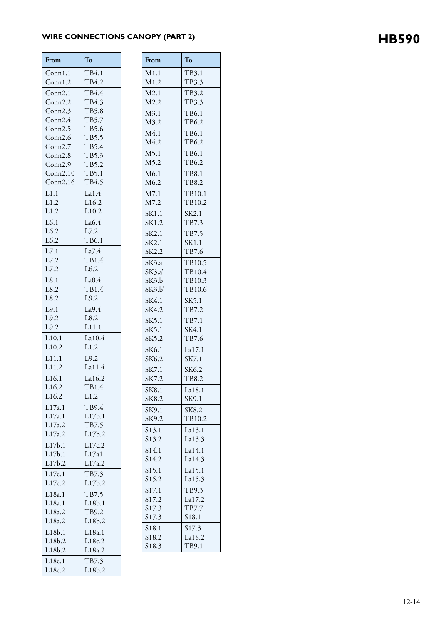# WIRE CONNECTIONS CANOPY (PART 2) **HB590**

| From               | To              | From              | To           |
|--------------------|-----------------|-------------------|--------------|
| Conn1.1            | TB4.1           | M1.1              | TB3.1        |
| Conn1.2            | TB4.2           | M1.2              | TB3.3        |
| Conn2.1            | TB4.4           | M2.1              | TB3.2        |
| Conn2.2            | TB4.3           | M2.2              | TB3.3        |
| Conn2.3            | TB5.8           | M3.1              | TB6.1        |
| Conn2.4            | TB5.7           | M3.2              | TB6.2        |
| Conn2.5            | TB5.6           | M4.1              | TB6.1        |
| Conn2.6            | TB5.5           | M4.2              | TB6.2        |
| Conn2.7<br>Conn2.8 | TB5.4<br>TB5.3  | M5.1              | TB6.1        |
| Conn2.9            | TB5.2           | M5.2              | TB6.2        |
| Conn2.10           | TB5.1           | M6.1              | TB8.1        |
| Conn2.16           | TB4.5           | M6.2              | TB8.2        |
| L1.1               | La1.4           | M7.1              | TB10.        |
| L1.2               | L16.2           | M7.2              | TB10.        |
| L1.2               | L10.2           | SK1.1             | SK2.1        |
| L6.1               | La6.4           | SK1.2             | TB7.3        |
| L6.2               | L7.2            | SK2.1             | TB7.5        |
| L6.2               | TB6.1           | SK2.1             | SK1.1        |
| L7.1               | La7.4           | SK2.2             | TB7.6        |
| L7.2               | TB1.4           | SK3.a             | TB10.        |
| L7.2               | L6.2            | SK3.a             | TB10.        |
| L8.1               | La8.4           | SK3.b             | TB10.        |
| L8.2               | TB1.4           | SK3.b'            | TB10.        |
| L8.2               | L9.2            | SK4.1             | SK5.1        |
| L9.1               | La9.4           | SK4.2             | TB7.2        |
| L9.2               | L8.2            | SK5.1             | TB7.1        |
| L9.2               | L11.1           | SK5.1             | SK4.1        |
| L <sub>10.1</sub>  | La10.4          | SK5.2             | TB7.6        |
| L10.2              | L1.2            | SK6.1             | La17.1       |
| L11.1              | L9.2            | SK6.2             | SK7.1        |
| L11.2              | La11.4          | SK7.1             | SK6.2        |
| L16.1              | La16.2          | SK7.2             | <b>TB8.2</b> |
| L16.2              | TB1.4           | SK8.1             | La18.1       |
| L16.2              | L1.2            | SK8.2             | SK9.1        |
| L17a.1             | TB9.4           | SK9.1             | SK8.2        |
| L17a.1             | L17b.1          | SK9.2             | TB10.        |
| L17a.2             | TB7.5           | S13.1             | La13.1       |
| L17a.2             | L17b.2          | S13.2             | La13.3       |
| L17b.1             | L17c.2          | S <sub>14.1</sub> | La14.1       |
| L17b.1<br>L17b.2   | L17a1           | S14.2             | La14.3       |
|                    | L17a.2          | S15.1             | La15.1       |
| L17c.1             | TB7.3           | S15.2             | La15.3       |
| L17c.2             | L17b.2          | S17.1             | TB9.3        |
| L18a.1             | TB7.5           | S17.2             | La17.2       |
| L18a.1<br>L18a.2   | L18b.1<br>TB9.2 | S17.3             | TB7.7        |
| L18a.2             | L18b.2          | S17.3             | S18.1        |
| L18b.1             | L18a.1          | S18.1             | S17.3        |
| L18b.2             | L18c.2          | S18.2             | La18.2       |
| L18b.2             | L18a.2          | S18.3             | TB9.1        |
| L18c.1             | TB7.3           |                   |              |
|                    |                 |                   |              |

L18c.2

L18b.2

| M1.2                                   | TB3.3             |
|----------------------------------------|-------------------|
| $\overline{12.1}$                      | TB3.2             |
| $\overline{12.2}$                      | TB3.3<br>TB6.1    |
| $\overline{43.1}$<br>$\overline{43.2}$ | TB6.2             |
| A4.1                                   | TB6.1             |
| A4.2                                   | TB6.2             |
| $\overline{45.1}$                      | TB6.1             |
| $M$ 5.2<br>A6.1                        | TB6.2<br>TB8.1    |
| M6.2                                   | TB8.2             |
| $\overline{47.1}$                      | TB10.1            |
| M7.2                                   | TB10.2            |
| K1.1                                   | SK2.1             |
| 6K1.2                                  | TB7.3             |
| K2.1<br>K2.1                           | TB7.5<br>SK1.1    |
| K2.2                                   | TB7.6             |
| K3.a                                   | TB10.5            |
| 5K3.a                                  | TB10.4            |
| SK3.b<br>K3.b'                         | TB10.3<br>TB10.6  |
| SK4.1                                  | SK5.1             |
| SK4.2                                  | TB7.2             |
| K5.1                                   | TB7.1             |
| K5.1                                   | SK4.1             |
| K5.2                                   | TB7.6             |
| K6.1<br>K6.2                           | La17.1<br>SK7.1   |
| K7.1                                   | SK6.2             |
| K7.2                                   | TB8.2             |
| SK8.1                                  | La18.1            |
| K8.2                                   | SK9.1             |
| K9.1<br>K9.2                           | SK8.2<br>TB10.2   |
| 513.1                                  | La13.1            |
| 313.2                                  | La13.3            |
| 514.1                                  | La14.1            |
| 514.2                                  | La14.3            |
| 515.1                                  | La15.1            |
| 515.2<br>517.1                         | La15.3<br>TB9.3   |
| 517.2                                  | La17.2            |
| 517.3                                  | TB7.7             |
| 517.3                                  | S <sub>18.1</sub> |
| 518.1                                  | S17.3             |
| 518.2<br>518.3                         | La18.2<br>TB9.1   |
|                                        |                   |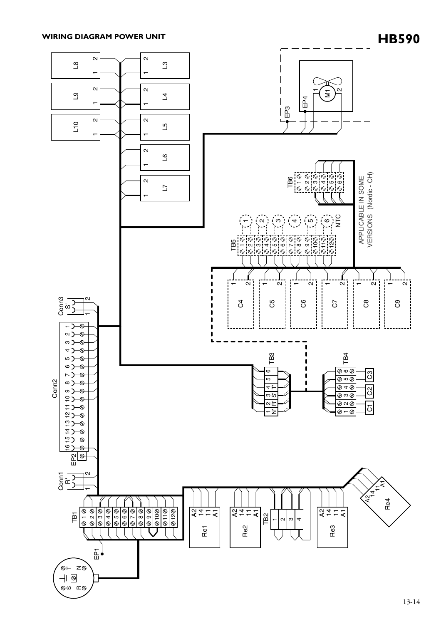